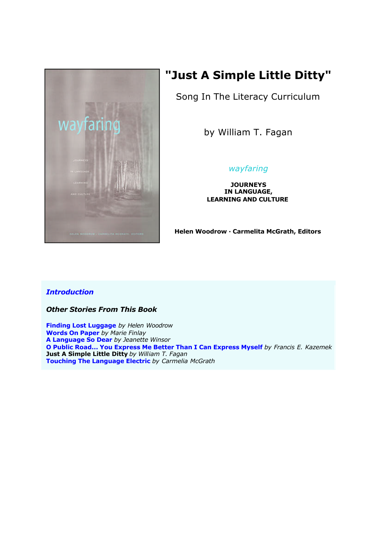

# **"Just A Simple Little Ditty"**

Song In The Literacy Curriculum

by William T. Fagan

# *wayfaring*

**JOURNEYS IN LANGUAGE, LEARNING AND CULTURE**

**Helen Woodrow · Carmelita McGrath, Editors**

## *Introduction*

*Other Stories From This Book*

**Finding Lost Luggage** *by Helen Woodrow* **Words On Paper** *by Marie Finlay* **A Language So Dear** *by Jeanette Winsor* **O Public Road... You Express Me Better Than I Can Express Myself** *by Francis E. Kazemek* **Just A Simple Little Ditty** *by William T. Fagan* **Touching The Language Electric** *by Carmelia McGrath*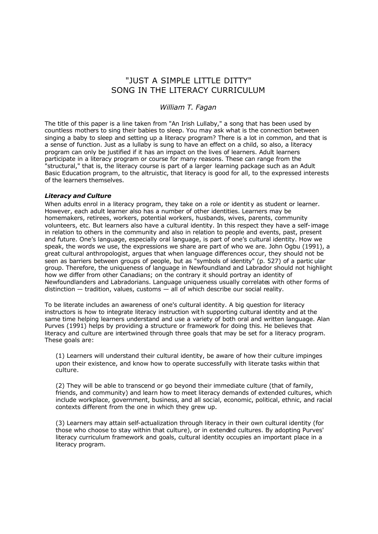## "JUST A SIMPLE LITTLE DITTY" SONG IN THE LITERACY CURRICULUM

### *William T. Fagan*

The title of this paper is a line taken from "An Irish Lullaby," a song that has been used by countless mothers to sing their babies to sleep. You may ask what is the connection between singing a baby to sleep and setting up a literacy program? There is a lot in common, and that is a sense of function. Just as a lullaby is sung to have an effect on a child, so also, a literacy program can only be justified if it has an impact on the lives of learners. Adult learners participate in a literacy program or course for many reasons. These can range from the "structural," that is, the literacy course is part of a larger learning package such as an Adult Basic Education program, to the altruistic, that literacy is good for all, to the expressed interests of the learners themselves.

#### *Literacy and Culture*

When adults enrol in a literacy program, they take on a role or identity as student or learner. However, each adult learner also has a number of other identities. Learners may be homemakers, retirees, workers, potential workers, husbands, wives, parents, community volunteers, etc. But learners also have a cultural identity. In this respect they have a self-image in relation to others in the community and also in relation to people and events, past, present and future. One's language, especially oral language, is part of one's cultural identity. How we speak, the words we use, the expressions we share are part of who we are. John Ogbu (1991), a great cultural anthropologist, argues that when language differences occur, they should not be seen as barriers between groups of people, but as "symbols of identity" (p. 527) of a partic ular group. Therefore, the uniqueness of language in Newfoundland and Labrador should not highlight how we differ from other Canadians; on the contrary it should portray an identity of Newfoundlanders and Labradorians. Language uniqueness usually correlates with other forms of distinction — tradition, values, customs — all of which describe our social reality.

To be literate includes an awareness of one's cultural identity. A big question for literacy instructors is how to integrate literacy instruction with supporting cultural identity and at the same time helping learners understand and use a variety of both oral and written language. Alan Purves (1991) helps by providing a structure or framework for doing this. He believes that literacy and culture are intertwined through three goals that may be set for a literacy program. These goals are:

(1) Learners will understand their cultural identity, be aware of how their culture impinges upon their existence, and know how to operate successfully with literate tasks within that culture.

(2) They will be able to transcend or go beyond their immediate culture (that of family, friends, and community) and learn how to meet literacy demands of extended cultures, which include workplace, government, business, and all social, economic, political, ethnic, and racial contexts different from the one in which they grew up.

(3) Learners may attain self-actualization through literacy in their own cultural identity (for those who choose to stay within that culture), or in extended cultures. By adopting Purves' literacy curriculum framework and goals, cultural identity occupies an important place in a literacy program.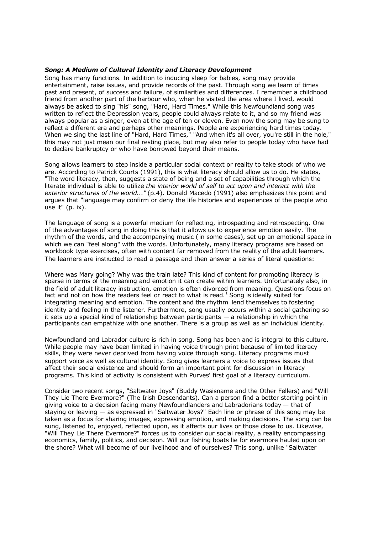#### *Song: A Medium of Cultural Identity and Literacy Development*

Song has many functions. In addition to inducing sleep for babies, song may provide entertainment, raise issues, and provide records of the past. Through song we learn of times past and present, of success and failure, of similarities and differences. I remember a childhood friend from another part of the harbour who, when he visited the area where I lived, would always be asked to sing "his" song, "Hard, Hard Times." While this Newfoundland song was written to reflect the Depression years, people could always relate to it, and so my friend was always popular as a singer, even at the age of ten or eleven. Even now the song may be sung to reflect a different era and perhaps other meanings. People are experiencing hard times today. When we sing the last line of "Hard, Hard Times," "And when it's all over, you're still in the hole," this may not just mean our final resting place, but may also refer to people today who have had to declare bankruptcy or who have borrowed beyond their means.

Song allows learners to step inside a particular social context or reality to take stock of who we are. According to Patrick Courts (1991), this is what literacy should allow us to do. He states, "The word literacy, then, suggests a state of being and a set of capabilities through which the literate individual is able to utilize *the interior world of self to act upon and interact with the exterior structures of the world..."* (p.4). Donald Macedo (1991) also emphasizes this point and argues that "language may confirm or deny the life histories and experiences of the people who use it" (p. ix).

The language of song is a powerful medium for reflecting, introspecting and retrospecting. One of the advantages of song in doing this is that it allows us to experience emotion easily. The rhythm of the words, and the accompanying music ( in some cases), set up an emotional space in which we can "feel along" with the words. Unfortunately, many literacy programs are based on workbook type exercises, often with content far removed from the reality of the adult learners. The learners are instructed to read a passage and then answer a series of literal questions:

Where was Mary going? Why was the train late? This kind of content for promoting literacy is sparse in terms of the meaning and emotion it can create within learners. Unfortunately also, in the field of adult literacy instruction, emotion is often divorced from meaning. Questions focus on fact and not on how the readers feel or react to what is read.<sup>1</sup> Song is ideally suited for integrating meaning and emotion. The content and the rhythm lend themselves to fostering identity and feeling in the listener. Furthermore, song usually occurs within a social gathering so it sets up a special kind of relationship between participants — a relationship in which the participants can empathize with one another. There is a group as well as an individual identity.

Newfoundland and Labrador culture is rich in song. Song has been and is integral to this culture. While people may have been limited in having voice through print because of limited literacy skills, they were never deprived from having voice through song. Literacy programs must support voice as well as cultural identity. Song gives learners a voice to express issues that affect their social existence and should form an important point for discussion in literacy programs. This kind of activity is consistent with Purves' first goal of a literacy curriculum.

Consider two recent songs, "Saltwater Joys" (Buddy Wasisname and the Other Fellers) and "Will They Lie There Evermore?" (The Irish Descendants). Can a person find a better starting point in giving voice to a decision facing many Newfoundlanders and Labradorians today — that of staying or leaving — as expressed in "Saltwater Joys?" Each line or phrase of this song may be taken as a focus for sharing images, expressing emotion, and making decisions. The song can be sung, listened to, enjoyed, reflected upon, as it affects our lives or those close to us. Likewise, "Will They Lie There Evermore?" forces us to consider our social reality, a reality encompassing economics, family, politics, and decision. Will our fishing boats lie for evermore hauled upon on the shore? What will become of our livelihood and of ourselves? This song, unlike "Saltwater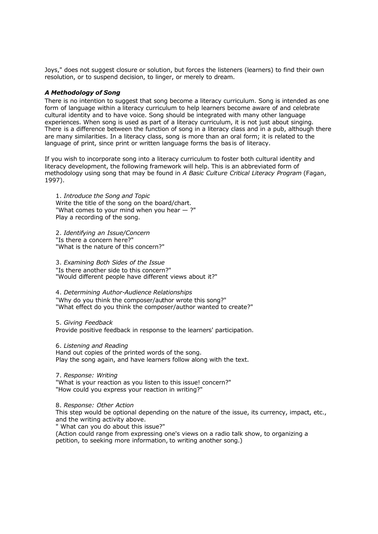Joys," does not suggest closure or solution, but forces the listeners (learners) to find their own resolution, or to suspend decision, to linger, or merely to dream.

#### *A Methodology of Song*

There is no intention to suggest that song become a literacy curriculum. Song is intended as one form of language within a literacy curriculum to help learners become aware of and celebrate cultural identity and to have voice. Song should be integrated with many other language experiences. When song is used as part of a literacy curriculum, it is not just about singing. There is a difference between the function of song in a literacy class and in a pub, although there are many similarities. In a literacy class, song is more than an oral form; it is related to the language of print, since print or written language forms the bas is of literacy.

If you wish to incorporate song into a literacy curriculum to foster both cultural identity and literacy development, the following framework will help. This is an abbreviated form of methodology using song that may be found in *A Basic Culture Critical Literacy Program* (Fagan, 1997).

1. *Introduce the Song and Topic* Write the title of the song on the board/chart. "What comes to your mind when you hear  $-$  ?" Play a recording of the song.

2. *Identifying an Issue/Concern* "Is there a concern here?" "What is the nature of this concern?"

3. *Examining Both Sides of the Issue* "Is there another side to this concern?" "Would different people have different views about it?"

4. *Determining Author-Audience Relationships* "Why do you think the composer/author wrote this song?" "What effect do you think the composer/author wanted to create?"

5. *Giving Feedback* Provide positive feedback in response to the learners' participation.

6. *Listening and Reading* Hand out copies of the printed words of the song. Play the song again, and have learners follow along with the text.

7. *Response: Writing* "What is your reaction as you listen to this issue! concern?" "How could you express your reaction in writing?"

8. *Response: Other Action*

This step would be optional depending on the nature of the issue, its currency, impact, etc., and the writing activity above.

" What can you do about this issue?"

(Action could range from expressing one's views on a radio talk show, to organizing a petition, to seeking more information, to writing another song.)